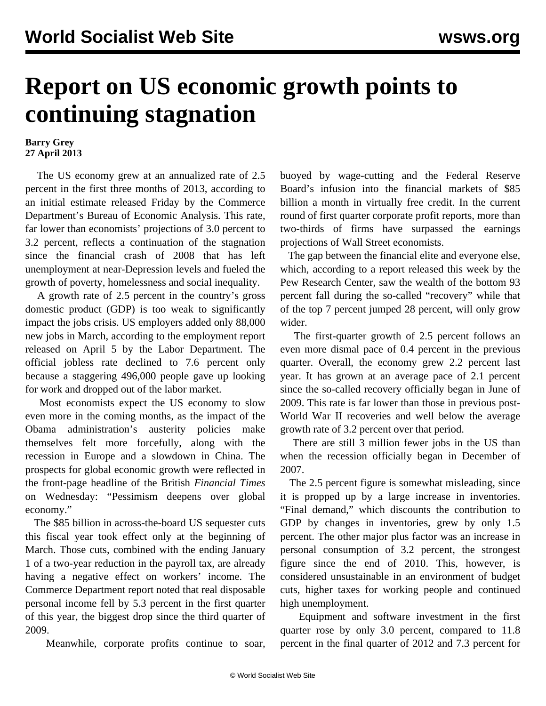## **Report on US economic growth points to continuing stagnation**

## **Barry Grey 27 April 2013**

 The US economy grew at an annualized rate of 2.5 percent in the first three months of 2013, according to an initial estimate released Friday by the Commerce Department's Bureau of Economic Analysis. This rate, far lower than economists' projections of 3.0 percent to 3.2 percent, reflects a continuation of the stagnation since the financial crash of 2008 that has left unemployment at near-Depression levels and fueled the growth of poverty, homelessness and social inequality.

 A growth rate of 2.5 percent in the country's gross domestic product (GDP) is too weak to significantly impact the jobs crisis. US employers added only 88,000 new jobs in March, according to the employment report released on April 5 by the Labor Department. The official jobless rate declined to 7.6 percent only because a staggering 496,000 people gave up looking for work and dropped out of the labor market.

 Most economists expect the US economy to slow even more in the coming months, as the impact of the Obama administration's austerity policies make themselves felt more forcefully, along with the recession in Europe and a slowdown in China. The prospects for global economic growth were reflected in the front-page headline of the British *Financial Times* on Wednesday: "Pessimism deepens over global economy."

 The \$85 billion in across-the-board US sequester cuts this fiscal year took effect only at the beginning of March. Those cuts, combined with the ending January 1 of a two-year reduction in the payroll tax, are already having a negative effect on workers' income. The Commerce Department report noted that real disposable personal income fell by 5.3 percent in the first quarter of this year, the biggest drop since the third quarter of 2009.

Meanwhile, corporate profits continue to soar,

buoyed by wage-cutting and the Federal Reserve Board's infusion into the financial markets of \$85 billion a month in virtually free credit. In the current round of first quarter corporate profit reports, more than two-thirds of firms have surpassed the earnings projections of Wall Street economists.

 The gap between the financial elite and everyone else, which, according to a report released this week by the Pew Research Center, saw the wealth of the bottom 93 percent fall during the so-called "recovery" while that of the top 7 percent jumped 28 percent, will only grow wider.

 The first-quarter growth of 2.5 percent follows an even more dismal pace of 0.4 percent in the previous quarter. Overall, the economy grew 2.2 percent last year. It has grown at an average pace of 2.1 percent since the so-called recovery officially began in June of 2009. This rate is far lower than those in previous post-World War II recoveries and well below the average growth rate of 3.2 percent over that period.

 There are still 3 million fewer jobs in the US than when the recession officially began in December of 2007.

 The 2.5 percent figure is somewhat misleading, since it is propped up by a large increase in inventories. "Final demand," which discounts the contribution to GDP by changes in inventories, grew by only 1.5 percent. The other major plus factor was an increase in personal consumption of 3.2 percent, the strongest figure since the end of 2010. This, however, is considered unsustainable in an environment of budget cuts, higher taxes for working people and continued high unemployment.

 Equipment and software investment in the first quarter rose by only 3.0 percent, compared to 11.8 percent in the final quarter of 2012 and 7.3 percent for